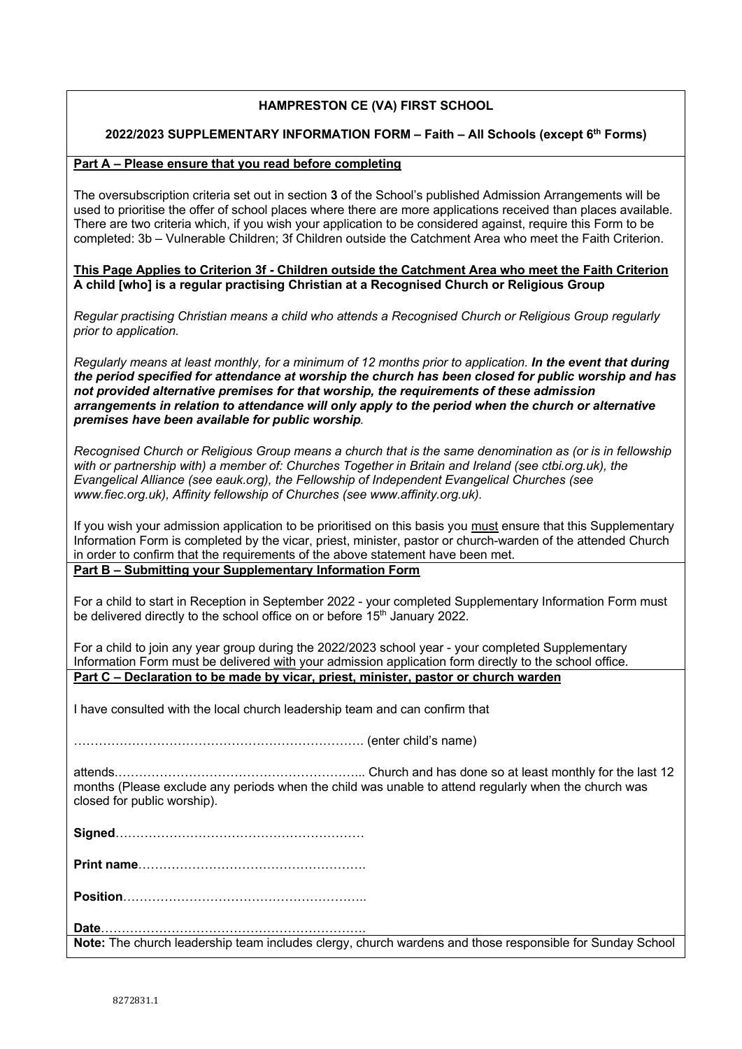# **HAMPRESTON CE (VA) FIRST SCHOOL**

## **2022/2023 SUPPLEMENTARY INFORMATION FORM – Faith – All Schools (except 6th Forms)**

### **Part A – Please ensure that you read before completing**

The oversubscription criteria set out in section **3** of the School's published Admission Arrangements will be used to prioritise the offer of school places where there are more applications received than places available. There are two criteria which, if you wish your application to be considered against, require this Form to be completed: 3b – Vulnerable Children; 3f Children outside the Catchment Area who meet the Faith Criterion.

#### **This Page Applies to Criterion 3f - Children outside the Catchment Area who meet the Faith Criterion A child [who] is a regular practising Christian at a Recognised Church or Religious Group**

*Regular practising Christian means a child who attends a Recognised Church or Religious Group regularly prior to application.*

*Regularly means at least monthly, for a minimum of 12 months prior to application. In the event that during the period specified for attendance at worship the church has been closed for public worship and has not provided alternative premises for that worship, the requirements of these admission arrangements in relation to attendance will only apply to the period when the church or alternative premises have been available for public worship.*

*Recognised Church or Religious Group means a church that is the same denomination as (or is in fellowship with or partnership with) a member of: Churches Together in Britain and Ireland (see ctbi.org.uk), the Evangelical Alliance (see eauk.org), the Fellowship of Independent Evangelical Churches (see www.fiec.org.uk), Affinity fellowship of Churches (see www.affinity.org.uk).*

If you wish your admission application to be prioritised on this basis you must ensure that this Supplementary Information Form is completed by the vicar, priest, minister, pastor or church-warden of the attended Church in order to confirm that the requirements of the above statement have been met. **Part B – Submitting your Supplementary Information Form**

For a child to start in Reception in September 2022 - your completed Supplementary Information Form must be delivered directly to the school office on or before 15<sup>th</sup> January 2022.

For a child to join any year group during the 2022/2023 school year - your completed Supplementary Information Form must be delivered with your admission application form directly to the school office. **Part C – Declaration to be made by vicar, priest, minister, pastor or church warden**

I have consulted with the local church leadership team and can confirm that

……………………………………………………………. (enter child's name)

attends.…………………………………………………... Church and has done so at least monthly for the last 12 months (Please exclude any periods when the child was unable to attend regularly when the church was closed for public worship).

**Signed**……………………………………………………

**Print name**……………………………………………….

**Position**…………………………………………………..

**Date**………………………………………………………. **Note:** The church leadership team includes clergy, church wardens and those responsible for Sunday School